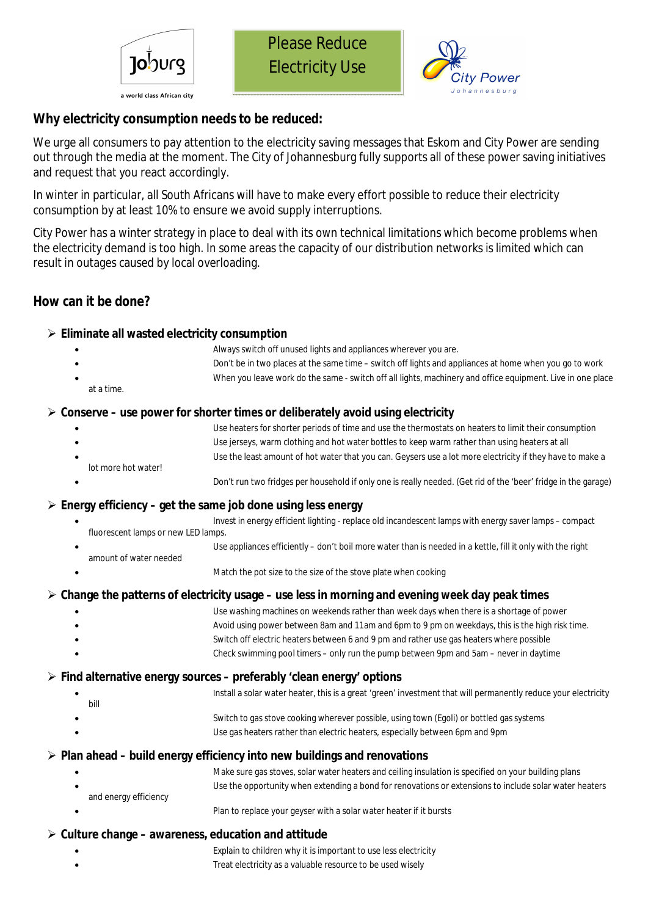





# **Why electricity consumption needs to be reduced:**

We urge all consumers to pay attention to the electricity saving messages that Eskom and City Power are sending out through the media at the moment. The City of Johannesburg fully supports all of these power saving initiatives and request that you react accordingly.

In winter in particular, all South Africans will have to make every effort possible to reduce their electricity consumption by at least 10% to ensure we avoid supply interruptions.

City Power has a winter strategy in place to deal with its own technical limitations which become problems when the electricity demand is too high. In some areas the capacity of our distribution networks is limited which can result in outages caused by local overloading.

## **How can it be done?**

#### **Eliminate all wasted electricity consumption**

- Always switch off unused lights and appliances wherever you are.
- Don't be in two places at the same time switch off lights and appliances at home when you go to work
- When you leave work do the same switch off all lights, machinery and office equipment. Live in one place
	- at a time.

### **Conserve – use power for shorter times or deliberately avoid using electricity**

- Use heaters for shorter periods of time and use the thermostats on heaters to limit their consumption
- Use jerseys, warm clothing and hot water bottles to keep warm rather than using heaters at all Use the least amount of hot water that you can. Geysers use a lot more electricity if they have to make a
- lot more hot water!
- Don't run two fridges per household if only one is really needed. (Get rid of the 'beer' fridge in the garage)

#### **Energy efficiency – get the same job done using less energy**

- Invest in energy efficient lighting replace old incandescent lamps with energy saver lamps compact fluorescent lamps or new LED lamps.
- Use appliances efficiently don't boil more water than is needed in a kettle, fill it only with the right amount of water needed
- Match the pot size to the size of the stove plate when cooking

#### **Change the patterns of electricity usage – use less in morning and evening week day peak times**

- Use washing machines on weekends rather than week days when there is a shortage of power
	- Avoid using power between 8am and 11am and 6pm to 9 pm on weekdays, this is the high risk time.
	- Switch off electric heaters between 6 and 9 pm and rather use gas heaters where possible
- Check swimming pool timers only run the pump between 9pm and 5am never in daytime

#### **Find alternative energy sources – preferably 'clean energy' options**

 Install a solar water heater, this is a great 'green' investment that will permanently reduce your electricity bill Switch to gas stove cooking wherever possible, using town (Egoli) or bottled gas systems Use gas heaters rather than electric heaters, especially between 6pm and 9pm

## **Plan ahead – build energy efficiency into new buildings and renovations**

- Make sure gas stoves, solar water heaters and ceiling insulation is specified on your building plans Use the opportunity when extending a bond for renovations or extensions to include solar water heaters and energy efficiency
	- Plan to replace your geyser with a solar water heater if it bursts

#### **Culture change – awareness, education and attitude**

- Explain to children why it is important to use less electricity
- Treat electricity as a valuable resource to be used wisely